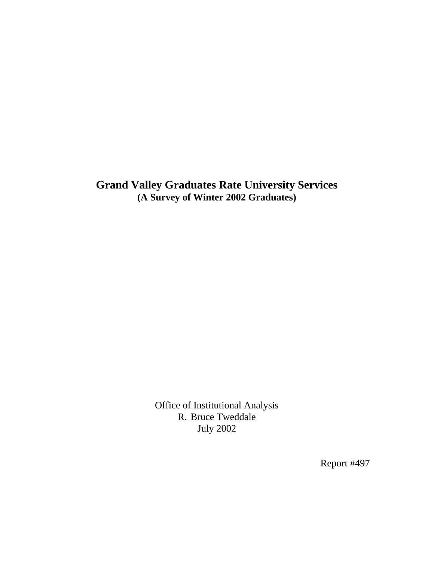**Grand Valley Graduates Rate University Services (A Survey of Winter 2002 Graduates)** 

> Office of Institutional Analysis R. Bruce Tweddale July 2002

> > Report #497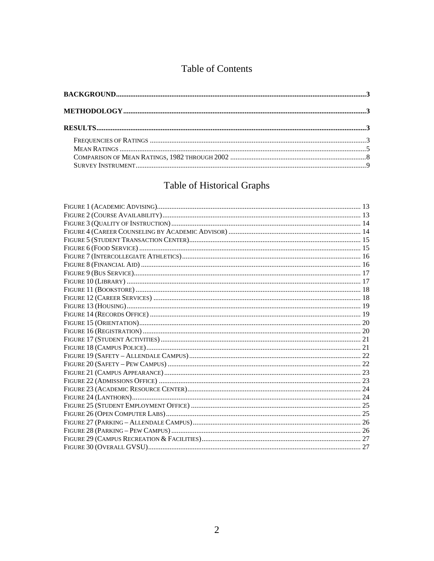## Table of Contents

# Table of Historical Graphs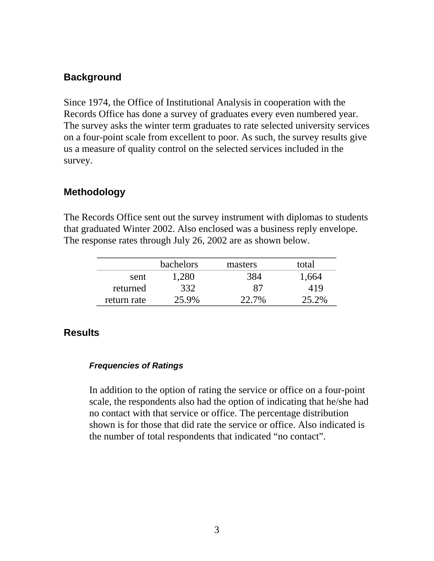## <span id="page-2-0"></span>**Background**

Since 1974, the Office of Institutional Analysis in cooperation with the Records Office has done a survey of graduates every even numbered year. The survey asks the winter term graduates to rate selected university services on a four-point scale from excellent to poor. As such, the survey results give us a measure of quality control on the selected services included in the survey.

## **Methodology**

The Records Office sent out the survey instrument with diplomas to students that graduated Winter 2002. Also enclosed was a business reply envelope. The response rates through July 26, 2002 are as shown below.

|             | <b>bachelors</b> | masters | total |
|-------------|------------------|---------|-------|
| sent        | 1,280            | 384     | .664  |
| returned    | 332              | 87      | 419   |
| return rate | 25.9%            | 22.7%   | 25.2% |

## **Results**

## *Frequencies of Ratings*

In addition to the option of rating the service or office on a four-point scale, the respondents also had the option of indicating that he/she had no contact with that service or office. The percentage distribution shown is for those that did rate the service or office. Also indicated is the number of total respondents that indicated "no contact".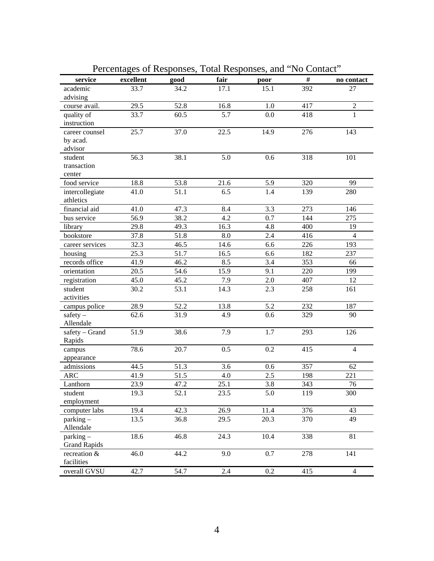| service               | excellent | good | fair    | poor    | $\#$ | no contact     |
|-----------------------|-----------|------|---------|---------|------|----------------|
| academic              | 33.7      | 34.2 | 17.1    | 15.1    | 392  | 27             |
| advising              |           |      |         |         |      |                |
| course avail.         | 29.5      | 52.8 | 16.8    | 1.0     | 417  | $\overline{2}$ |
| quality of            | 33.7      | 60.5 | 5.7     | 0.0     | 418  | 1              |
| instruction           |           |      |         |         |      |                |
| career counsel        | 25.7      | 37.0 | 22.5    | 14.9    | 276  | 143            |
| by acad.              |           |      |         |         |      |                |
| advisor               |           |      |         |         |      |                |
| student               | 56.3      | 38.1 | 5.0     | 0.6     | 318  | 101            |
| transaction           |           |      |         |         |      |                |
| center                |           |      |         |         |      |                |
| food service          | 18.8      | 53.8 | 21.6    | 5.9     | 320  | 99             |
| intercollegiate       | 41.0      | 51.1 | 6.5     | 1.4     | 139  | 280            |
| athletics             |           |      |         |         |      |                |
| financial aid         | 41.0      | 47.3 | 8.4     | 3.3     | 273  | 146            |
| bus service           | 56.9      | 38.2 | 4.2     | 0.7     | 144  | 275            |
| library               | 29.8      | 49.3 | 16.3    | 4.8     | 400  | 19             |
| bookstore             | 37.8      | 51.8 | 8.0     | 2.4     | 416  | $\overline{4}$ |
| career services       | 32.3      | 46.5 | 14.6    | 6.6     | 226  | 193            |
| housing               | 25.3      | 51.7 | 16.5    | 6.6     | 182  | 237            |
| records office        | 41.9      | 46.2 | 8.5     | 3.4     | 353  | 66             |
| orientation           | 20.5      | 54.6 | 15.9    | 9.1     | 220  | 199            |
| registration          | 45.0      | 45.2 | 7.9     | 2.0     | 407  | 12             |
| student               | 30.2      | 53.1 | 14.3    | 2.3     | 258  | 161            |
| activities            |           |      |         |         |      |                |
| campus police         | 28.9      | 52.2 | 13.8    | 5.2     | 232  | 187            |
| $safety -$            | 62.6      | 31.9 | 4.9     | 0.6     | 329  | 90             |
| Allendale             |           |      |         |         |      |                |
| safety - Grand        | 51.9      | 38.6 | 7.9     | 1.7     | 293  | 126            |
| Rapids                |           |      |         |         |      |                |
| campus                | 78.6      | 20.7 | 0.5     | 0.2     | 415  | $\overline{4}$ |
| appearance            |           |      |         |         |      |                |
| admissions            | 44.5      | 51.3 | 3.6     | 0.6     | 357  | 62             |
| ARC                   | 41.9      | 51.5 | 4.0     | 2.5     | 198  | 221            |
| Lanthorn              | 23.9      | 47.2 | 25.1    | 3.8     | 343  | 76             |
|                       |           |      |         |         |      |                |
| student<br>employment | 19.3      | 52.1 | 23.5    | 5.0     | 119  | 300            |
|                       |           | 42.3 | 26.9    |         |      |                |
| computer labs         | 19.4      |      |         | 11.4    | 376  | 43             |
| $parking -$           | 13.5      | 36.8 | 29.5    | 20.3    | 370  | 49             |
| Allendale             |           |      |         |         |      |                |
| $parking -$           | 18.6      | 46.8 | 24.3    | 10.4    | 338  | 81             |
| <b>Grand Rapids</b>   |           |      |         |         |      |                |
| recreation &          | 46.0      | 44.2 | 9.0     | 0.7     | 278  | 141            |
| facilities            |           |      |         |         |      |                |
| overall GVSU          | 42.7      | 54.7 | $2.4\,$ | $0.2\,$ | 415  | $\overline{4}$ |

Percentages of Responses, Total Responses, and "No Contact"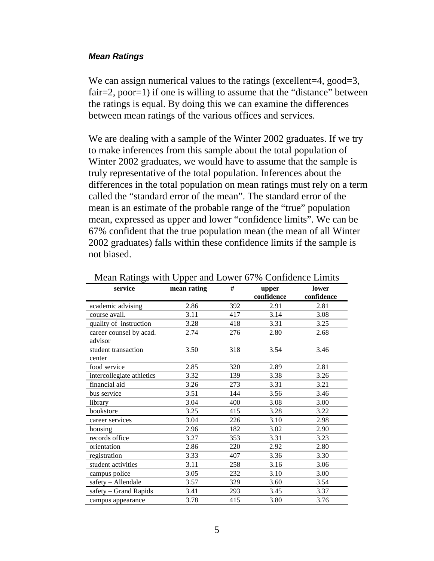#### <span id="page-4-0"></span>*Mean Ratings*

We can assign numerical values to the ratings (excellent=4, good=3, fair=2, poor=1) if one is willing to assume that the "distance" between the ratings is equal. By doing this we can examine the differences between mean ratings of the various offices and services.

We are dealing with a sample of the Winter 2002 graduates. If we try to make inferences from this sample about the total population of Winter 2002 graduates, we would have to assume that the sample is truly representative of the total population. Inferences about the differences in the total population on mean ratings must rely on a term called the "standard error of the mean". The standard error of the mean is an estimate of the probable range of the "true" population mean, expressed as upper and lower "confidence limits". We can be 67% confident that the true population mean (the mean of all Winter 2002 graduates) falls within these confidence limits if the sample is not biased.

| service                   | mean rating | #   | upper      | lower      |
|---------------------------|-------------|-----|------------|------------|
|                           |             |     | confidence | confidence |
| academic advising         | 2.86        | 392 | 2.91       | 2.81       |
| course avail.             | 3.11        | 417 | 3.14       | 3.08       |
| quality of instruction    | 3.28        | 418 | 3.31       | 3.25       |
| career counsel by acad.   | 2.74        | 276 | 2.80       | 2.68       |
| advisor                   |             |     |            |            |
| student transaction       | 3.50        | 318 | 3.54       | 3.46       |
| center                    |             |     |            |            |
| food service              | 2.85        | 320 | 2.89       | 2.81       |
| intercollegiate athletics | 3.32        | 139 | 3.38       | 3.26       |
| financial aid             | 3.26        | 273 | 3.31       | 3.21       |
| bus service               | 3.51        | 144 | 3.56       | 3.46       |
| library                   | 3.04        | 400 | 3.08       | 3.00       |
| bookstore                 | 3.25        | 415 | 3.28       | 3.22       |
| career services           | 3.04        | 226 | 3.10       | 2.98       |
| housing                   | 2.96        | 182 | 3.02       | 2.90       |
| records office            | 3.27        | 353 | 3.31       | 3.23       |
| orientation               | 2.86        | 220 | 2.92       | 2.80       |
| registration              | 3.33        | 407 | 3.36       | 3.30       |
| student activities        | 3.11        | 258 | 3.16       | 3.06       |
| campus police             | 3.05        | 232 | 3.10       | 3.00       |
| safety - Allendale        | 3.57        | 329 | 3.60       | 3.54       |
| safety - Grand Rapids     | 3.41        | 293 | 3.45       | 3.37       |
| campus appearance         | 3.78        | 415 | 3.80       | 3.76       |

Mean Ratings with Upper and Lower 67% Confidence Limits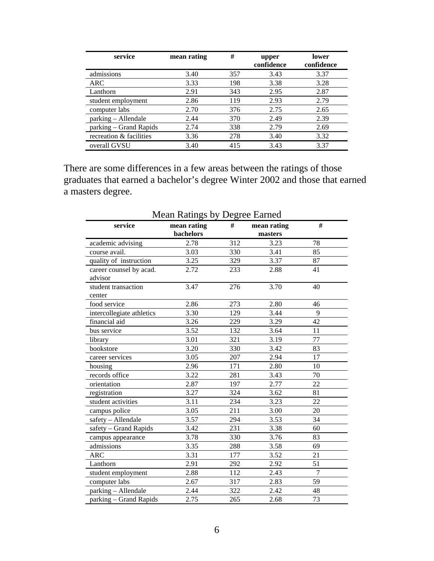| service                 | mean rating | #   | upper<br>confidence | lower<br>confidence |
|-------------------------|-------------|-----|---------------------|---------------------|
| admissions              | 3.40        | 357 | 3.43                | 3.37                |
| <b>ARC</b>              | 3.33        | 198 | 3.38                | 3.28                |
| Lanthorn                | 2.91        | 343 | 2.95                | 2.87                |
| student employment      | 2.86        | 119 | 2.93                | 2.79                |
| computer labs           | 2.70        | 376 | 2.75                | 2.65                |
| parking - Allendale     | 2.44        | 370 | 2.49                | 2.39                |
| parking – Grand Rapids  | 2.74        | 338 | 2.79                | 2.69                |
| recreation & facilities | 3.36        | 278 | 3.40                | 3.32                |
| overall GVSU            | 3.40        | 415 | 3.43                | 3.37                |

There are some differences in a few areas between the ratings of those graduates that earned a bachelor's degree Winter 2002 and those that earned a masters degree.

| <b>Mean Ratings by Degree Earned</b>            |           |     |         |    |  |  |  |
|-------------------------------------------------|-----------|-----|---------|----|--|--|--|
| #<br>#<br>service<br>mean rating<br>mean rating |           |     |         |    |  |  |  |
|                                                 | bachelors |     | masters |    |  |  |  |
| academic advising                               | 2.78      | 312 | 3.23    | 78 |  |  |  |
| course avail.                                   | 3.03      | 330 | 3.41    | 85 |  |  |  |
| quality of instruction                          | 3.25      | 329 | 3.37    | 87 |  |  |  |
| career counsel by acad.                         | 2.72      | 233 | 2.88    | 41 |  |  |  |
| advisor                                         |           |     |         |    |  |  |  |
| student transaction                             | 3.47      | 276 | 3.70    | 40 |  |  |  |
| center                                          |           |     |         |    |  |  |  |
| food service                                    | 2.86      | 273 | 2.80    | 46 |  |  |  |
| intercollegiate athletics                       | 3.30      | 129 | 3.44    | 9  |  |  |  |
| financial aid                                   | 3.26      | 229 | 3.29    | 42 |  |  |  |
| bus service                                     | 3.52      | 132 | 3.64    | 11 |  |  |  |
| library                                         | 3.01      | 321 | 3.19    | 77 |  |  |  |
| bookstore                                       | 3.20      | 330 | 3.42    | 83 |  |  |  |
| career services                                 | 3.05      | 207 | 2.94    | 17 |  |  |  |
| housing                                         | 2.96      | 171 | 2.80    | 10 |  |  |  |
| records office                                  | 3.22      | 281 | 3.43    | 70 |  |  |  |
| orientation                                     | 2.87      | 197 | 2.77    | 22 |  |  |  |
| registration                                    | 3.27      | 324 | 3.62    | 81 |  |  |  |
| student activities                              | 3.11      | 234 | 3.23    | 22 |  |  |  |
| campus police                                   | 3.05      | 211 | 3.00    | 20 |  |  |  |
| safety - Allendale                              | 3.57      | 294 | 3.53    | 34 |  |  |  |
| safety - Grand Rapids                           | 3.42      | 231 | 3.38    | 60 |  |  |  |
| campus appearance                               | 3.78      | 330 | 3.76    | 83 |  |  |  |
| admissions                                      | 3.35      | 288 | 3.58    | 69 |  |  |  |
| <b>ARC</b>                                      | 3.31      | 177 | 3.52    | 21 |  |  |  |
| Lanthorn                                        | 2.91      | 292 | 2.92    | 51 |  |  |  |
| student employment                              | 2.88      | 112 | 2.43    | 7  |  |  |  |
| computer labs                                   | 2.67      | 317 | 2.83    | 59 |  |  |  |
| parking - Allendale                             | 2.44      | 322 | 2.42    | 48 |  |  |  |
| parking - Grand Rapids                          | 2.75      | 265 | 2.68    | 73 |  |  |  |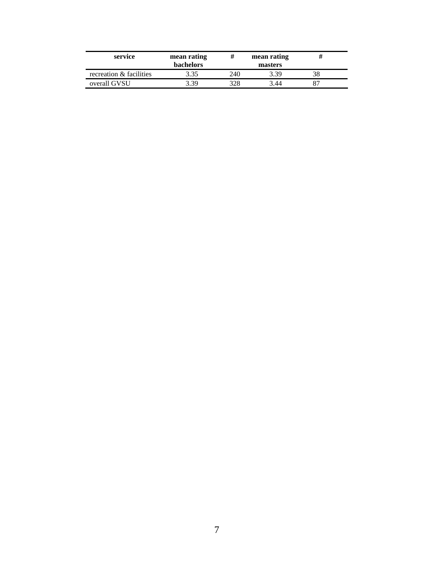| service                 | mean rating<br><b>bachelors</b> | #    | mean rating<br>masters |  |
|-------------------------|---------------------------------|------|------------------------|--|
| recreation & facilities | 3.35                            | 240  | 3.39                   |  |
| overall GVSU            | 3.39                            | 328. | 3 44                   |  |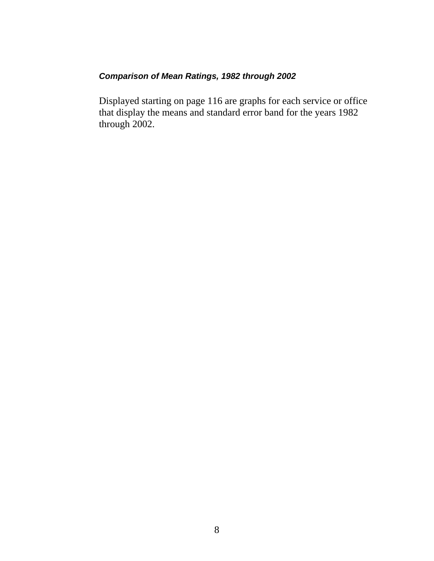## <span id="page-7-0"></span>*Comparison of Mean Ratings, 1982 through 2002*

Displayed starting on page 116 are graphs for each service or office that display the means and standard error band for the years 1982 through 2002.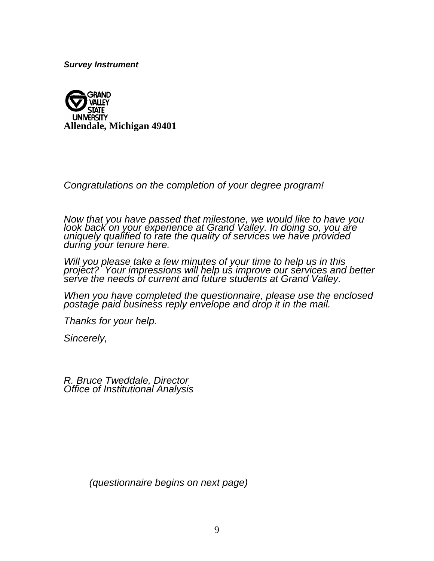<span id="page-8-0"></span>*Survey Instrument*



*Congratulations on the completion of your degree program!* 

*Now that you have passed that milestone, we would like to have you look back on your experience at Grand Valley. In doing so, you are uniquely qualified to rate the quality of services we have provided during your tenure here.* 

*Will you please take a few minutes of your time to help us in this project? Your impressions will help us improve our services and better serve the needs of current and future students at Grand Valley.* 

*When you have completed the questionnaire, please use the enclosed postage paid business reply envelope and drop it in the mail.* 

*Thanks for your help.* 

*Sincerely,* 

*R. Bruce Tweddale, Director Office of Institutional Analysis* 

 *(questionnaire begins on next page)*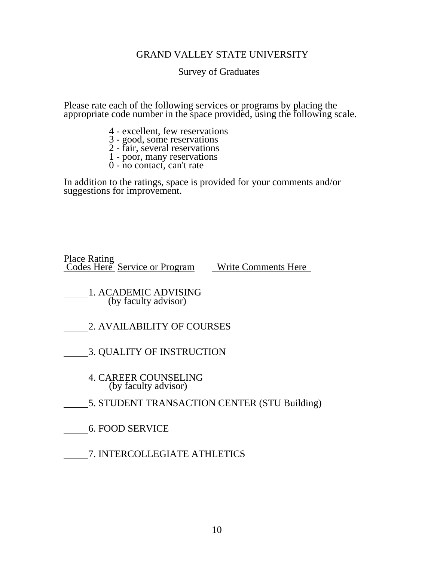#### GRAND VALLEY STATE UNIVERSITY

#### Survey of Graduates

Please rate each of the following services or programs by placing the appropriate code number in the space provided, using the following scale.

- 4 excellent, few reservations
- 3 good, some reservations
- 2 fair, several reservations
	- 1 poor, many reservations 0 no contact, can't rate
	-

In addition to the ratings, space is provided for your comments and/or suggestions for improvement.

Place Rating Codes Here Service or Program Write Comments Here

 1. ACADEMIC ADVISING (by faculty advisor)

- 2. AVAILABILITY OF COURSES
- 3. QUALITY OF INSTRUCTION
- 4. CAREER COUNSELING (by faculty advisor)
- 5. STUDENT TRANSACTION CENTER (STU Building)
	- 6. FOOD SERVICE
- 7. INTERCOLLEGIATE ATHLETICS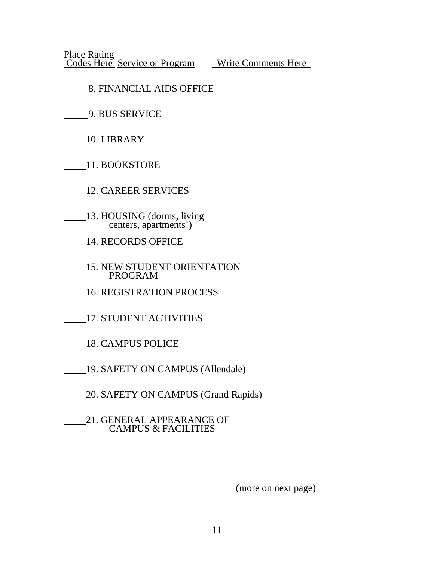Place Rating Codes Here Service or Program Write Comments Here

- 8. FINANCIAL AIDS OFFICE
	- 9. BUS SERVICE
- 10. LIBRARY
- 11. BOOKSTORE

12. CAREER SERVICES

- 13. HOUSING (dorms, living centers, apartments`)
- 14. RECORDS OFFICE
- **15. NEW STUDENT ORIENTATION** PROGRAM
- 16. REGISTRATION PROCESS
- 17. STUDENT ACTIVITIES
- 18. CAMPUS POLICE
- 19. SAFETY ON CAMPUS (Allendale)
- 20. SAFETY ON CAMPUS (Grand Rapids)
- 21. GENERAL APPEARANCE OF CAMPUS & FACILITIES

(more on next page)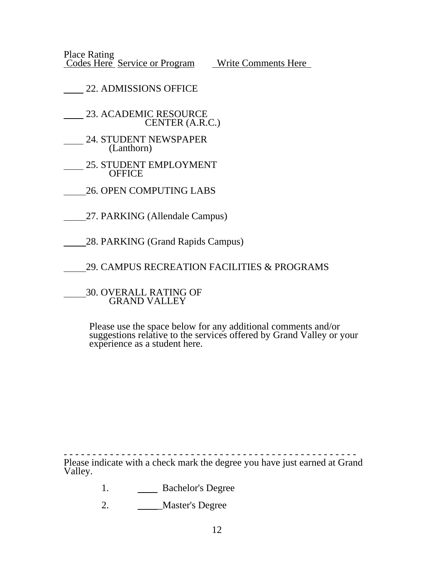Place Rating Codes Here Service or Program Write Comments Here

22. ADMISSIONS OFFICE

23. ACADEMIC RESOURCE CENTER (A.R.C.)

- 24. STUDENT NEWSPAPER (Lanthorn)
- 25. STUDENT EMPLOYMENT **OFFICE**
- 26. OPEN COMPUTING LABS
- 27. PARKING (Allendale Campus)
- 28. PARKING (Grand Rapids Campus)

29. CAMPUS RECREATION FACILITIES & PROGRAMS

 30. OVERALL RATING OF GRAND VALLEY

Please use the space below for any additional comments and/or suggestions relative to the services offered by Grand Valley or your experience as a student here.

- - - - - - - - - - - - - - - - - - - - - - - - - - - - - - - - - - - - - - - - - - - - - - - - - - - Please indicate with a check mark the degree you have just earned at Grand Valley.

- 1. Bachelor's Degree
- 2. \_\_\_\_\_Master's Degree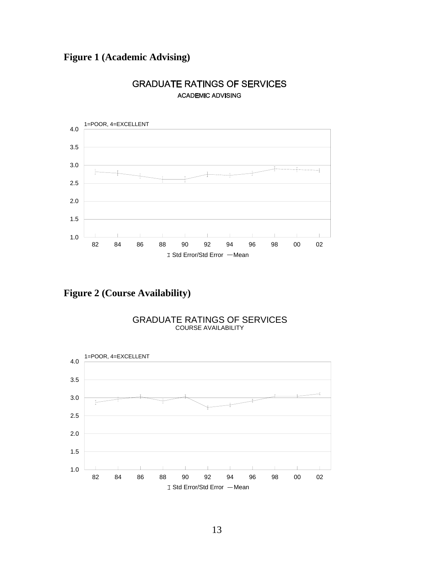## <span id="page-12-0"></span>**Figure 1 (Academic Advising)**



### **GRADUATE RATINGS OF SERVICES ACADEMIC ADVISING**

**Figure 2 (Course Availability)** 



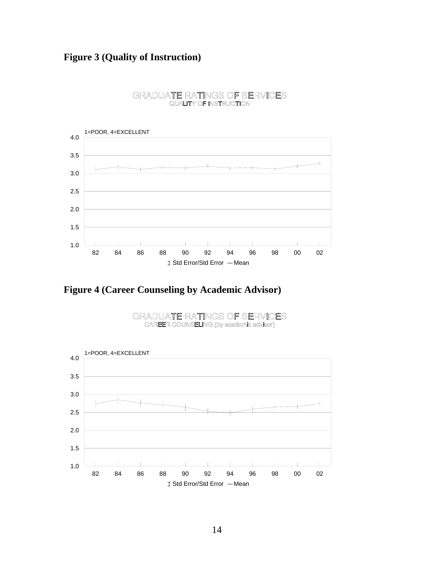<span id="page-13-0"></span>

#### GRADUATE RATINGS OF SERVICES **QUALITY OF INSTRUCTION**

**Figure 4 (Career Counseling by Academic Advisor)** 



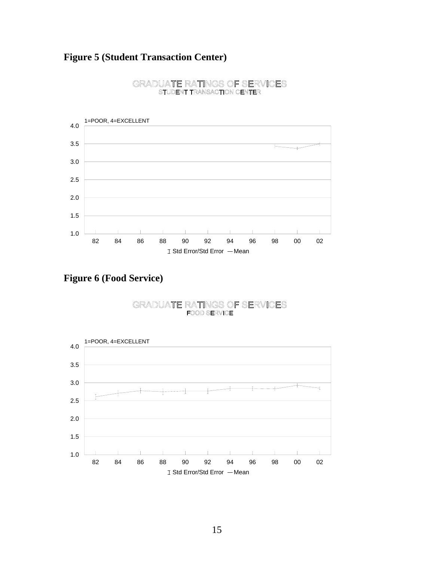## <span id="page-14-0"></span>**Figure 5 (Student Transaction Center)**



#### GRADUATE RATINGS OF SERVICES STUDENT TRANSACTION CENTER

**Figure 6 (Food Service)** 

#### GRADUATE RATINGS OF SERVICES **FOOD SERVICE**

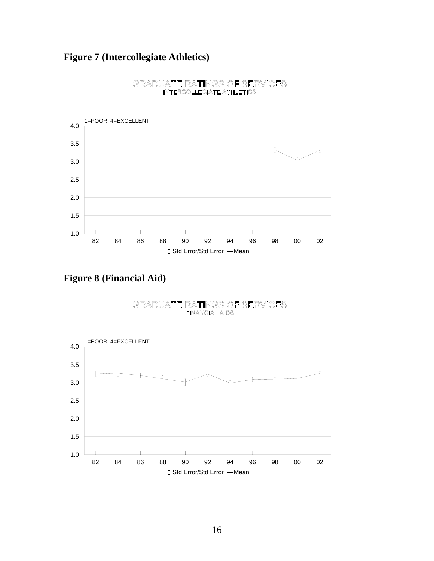## <span id="page-15-0"></span>**Figure 7 (Intercollegiate Athletics)**



#### GRADUATE RATINGS OF SERVICES **INTERCOLLEGIATE ATHLETICS**

**Figure 8 (Financial Aid)** 

#### GRADUATE RATINGS OF SERVICES **FINANCIAL AIDS**

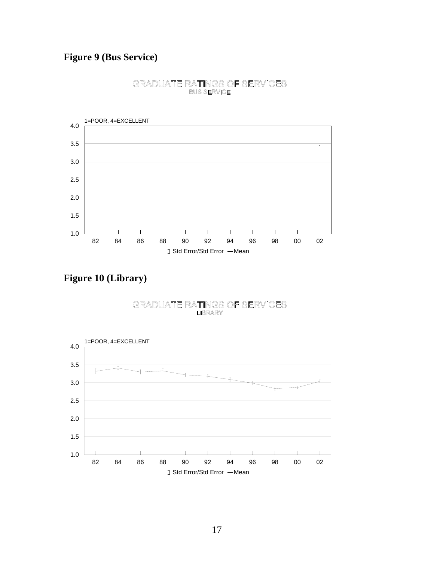<span id="page-16-0"></span>

#### GRADUATE RATINGS OF SERVICES **BUS SERVICE**

**Figure 10 (Library)** 

#### GRADUATE RATINGS OF SERVICES **LIBRARY**

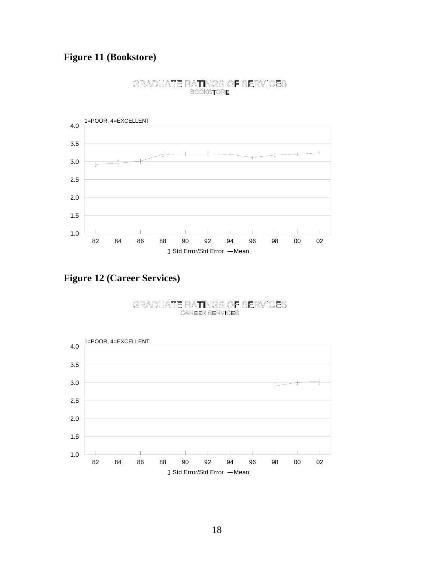<span id="page-17-0"></span>

#### GRADUATE RATINGS OF SERVICES **BOOKSTORE**

**Figure 12 (Career Services)** 

#### GRADUATE RATINGS OF SERVICES **CAREER SERVICES**

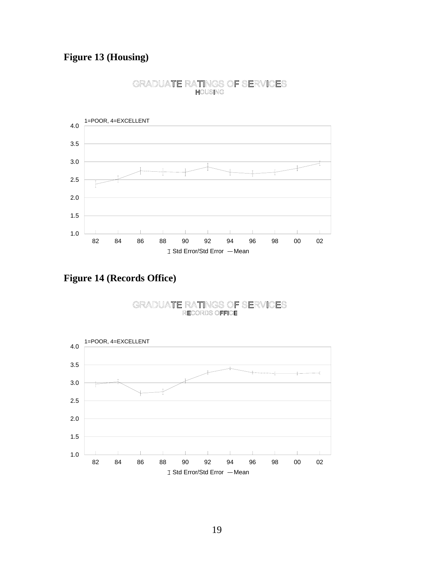<span id="page-18-0"></span>

# GRADUATE RATINGS OF SERVICES

**Figure 14 (Records Office)** 

#### GRADUATE RATINGS OF SERVICES RECORDS OFFICE

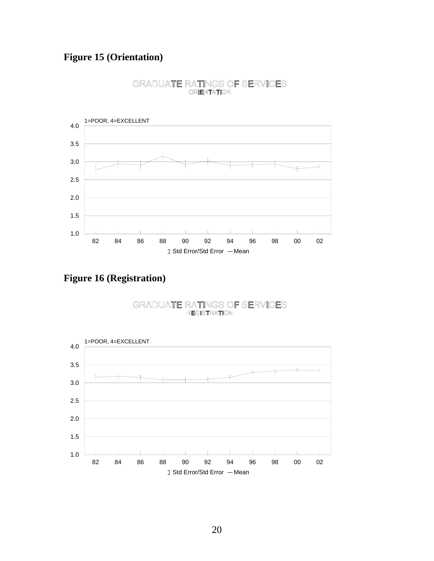## <span id="page-19-0"></span>**Figure 15 (Orientation)**



#### GRADUATE RATINGS OF SERVICES **ORIENTATION**

**Figure 16 (Registration)** 

#### GRADUATE RATINGS OF SERVICES **REGISTRATION**

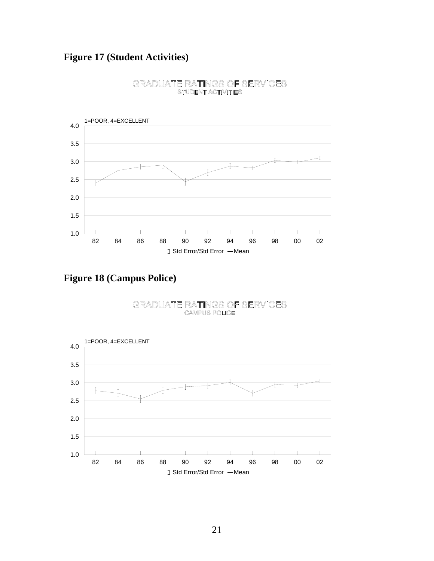## <span id="page-20-0"></span>**Figure 17 (Student Activities)**



#### GRADUATE RATINGS OF SERVICES **STUDENT ACTIVITIES**

**Figure 18 (Campus Police)** 

#### GRADUATE RATINGS OF SERVICES **CAMPUS POLICE**

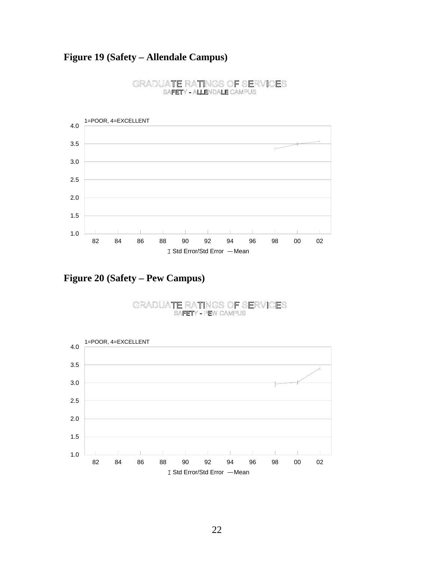## <span id="page-21-0"></span>**Figure 19 (Safety – Allendale Campus)**



#### GRADUATE RATINGS OF SERVICES SAFETY - ALLENDALE CAMPUS

**Figure 20 (Safety – Pew Campus)** 

#### GRADUATE RATINGS OF SERVICES SAFETY - PEW CAMPUS

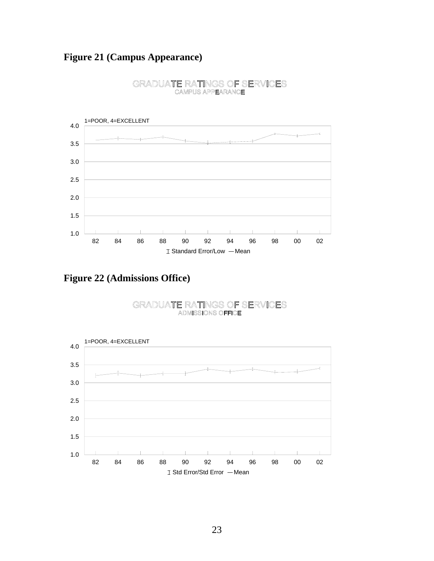## <span id="page-22-0"></span>**Figure 21 (Campus Appearance)**



#### GRADUATE RATINGS OF SERVICES **CAMPUS APPEARANCE**

**Figure 22 (Admissions Office)** 

#### GRADUATE RATINGS OF SERVICES **ADMISSIONS OFFICE**

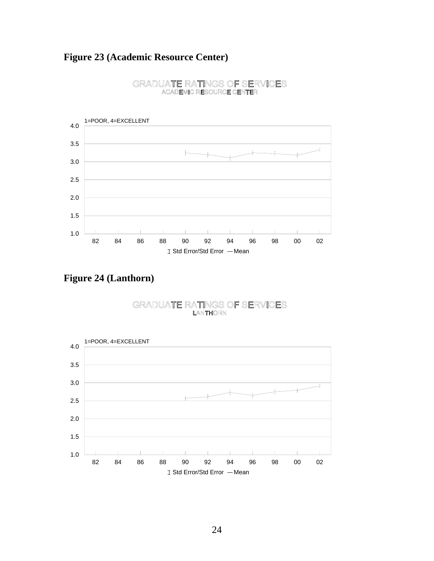## <span id="page-23-0"></span>**Figure 23 (Academic Resource Center)**



#### GRADUATE RATINGS OF SERVICES **ACADEMIC RESOURCE CENTER**

**Figure 24 (Lanthorn)** 

#### GRADUATE RATINGS OF SERVICES LANTHORN

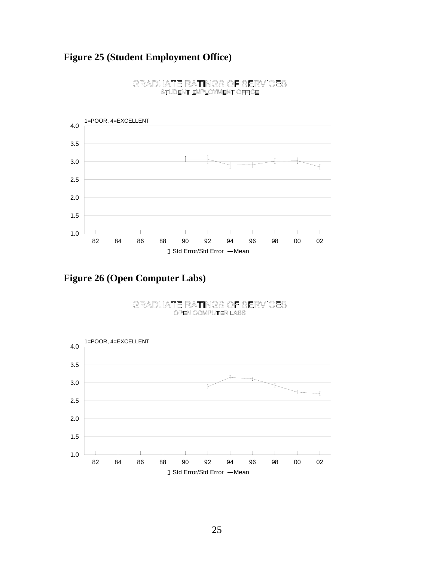## <span id="page-24-0"></span>**Figure 25 (Student Employment Office)**



#### GRADUATE RATINGS OF SERVICES STUDENT EMPLOYMENT OFFICE

**Figure 26 (Open Computer Labs)** 

#### GRADUATE RATINGS OF SERVICES OPEN COMPUTER LABS

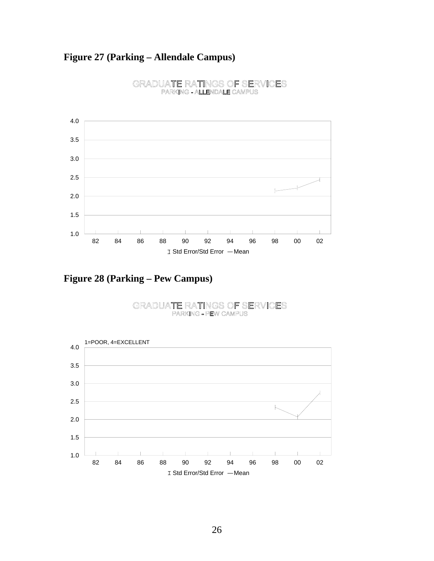## <span id="page-25-0"></span>**Figure 27 (Parking – Allendale Campus)**



#### GRADUATE RATINGS OF SERVICES PARKING - ALLENDALE CAMPUS

**Figure 28 (Parking – Pew Campus)** 

#### GRADUATE RATINGS OF SERVICES PARKING - PEW CAMPUS